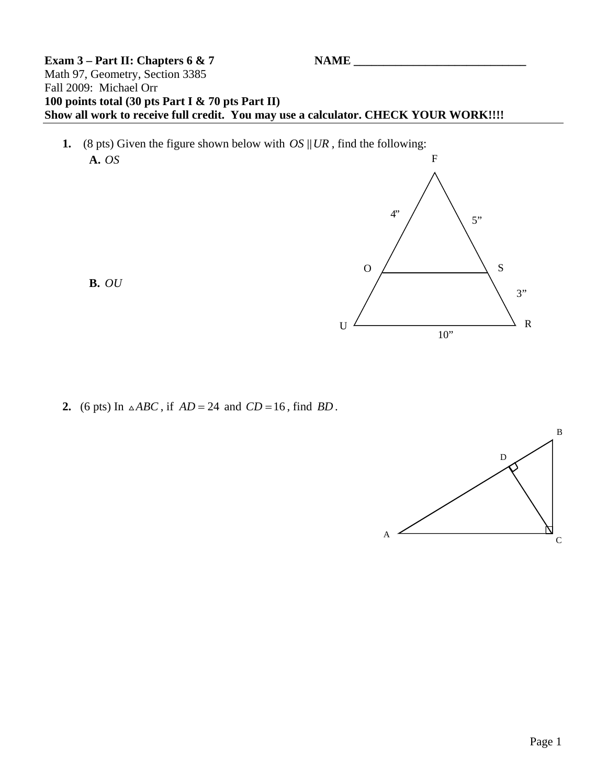## **Exam 3 – Part II: Chapters 6 & 7** Math 97, Geometry, Section 3385 Fall 2009: Michael Orr **100 points total (30 pts Part I & 70 pts Part II) Show all work to receive full credit. You may use a calculator. CHECK YOUR WORK!!!!**

**1.** (8 pts) Given the figure shown below with  $OS \parallel UR$ , find the following: **A.** *OS* F

**B.** *OU*





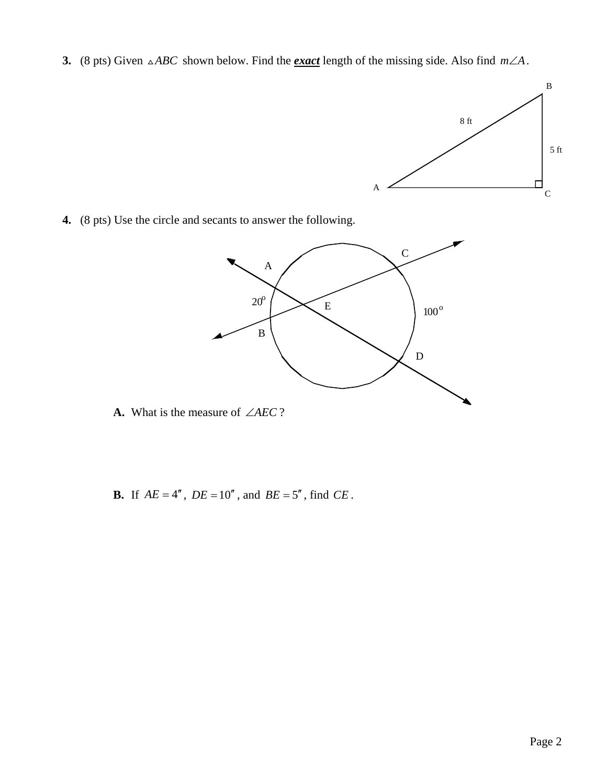**3.** (8 pts) Given  $\triangle ABC$  shown below. Find the *exact* length of the missing side. Also find  $m\angle A$ .



**4.** (8 pts) Use the circle and secants to answer the following.



- **A.** What is the measure of ∠*AEC* ?
- **B.** If  $AE = 4''$ ,  $DE = 10''$ , and  $BE = 5''$ , find  $CE$ .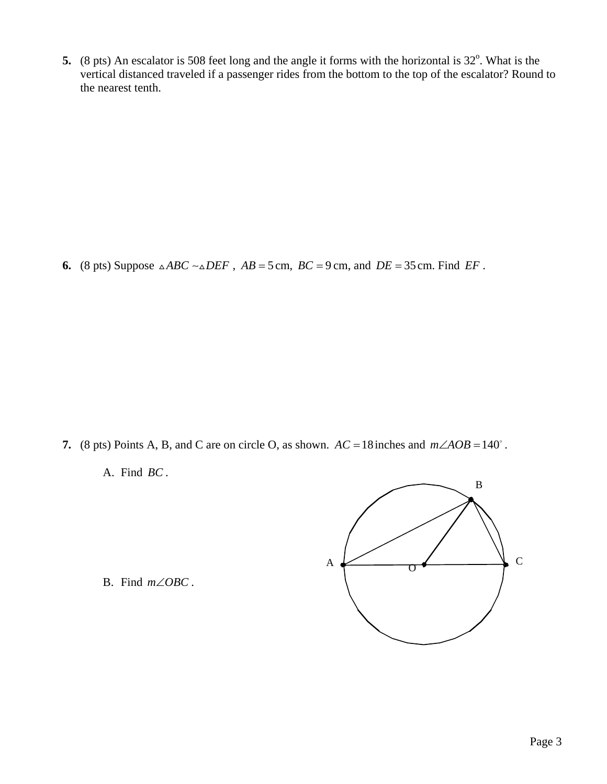**5.** (8 pts) An escalator is 508 feet long and the angle it forms with the horizontal is  $32^\circ$ . What is the vertical distanced traveled if a passenger rides from the bottom to the top of the escalator? Round to the nearest tenth.

**6.** (8 pts) Suppose  $\triangle ABC \sim \triangle DEF$ ,  $AB = 5$  cm,  $BC = 9$  cm, and  $DE = 35$  cm. Find *EF*.

- **7.** (8 pts) Points A, B, and C are on circle O, as shown.  $AC = 18$  inches and  $m\angle AOB = 140^\circ$ .
	- A. Find *BC* .



B. Find  $m \angle OBC$ .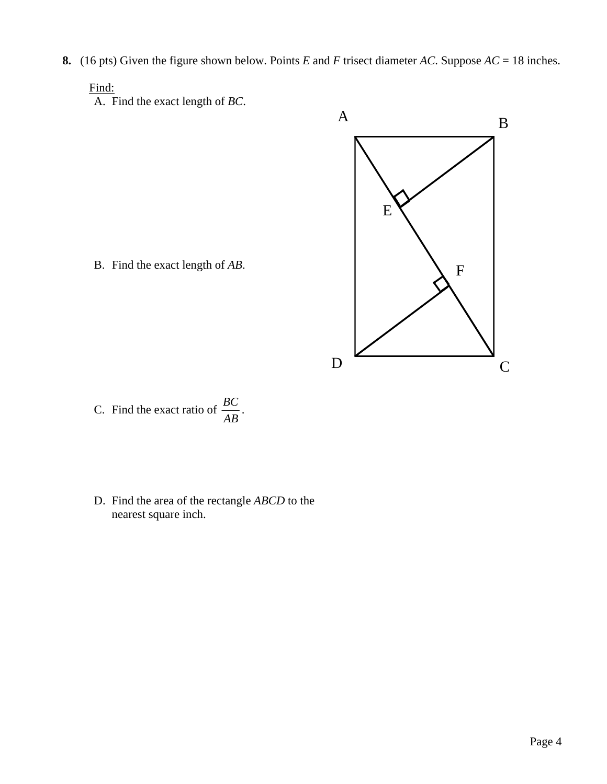**8.** (16 pts) Given the figure shown below. Points *E* and *F* trisect diameter *AC*. Suppose *AC* = 18 inches.

## Find:

A. Find the exact length of *BC*.

 $\mathbf A$  B  $\overline{D}$   $\overline{C}$ E F

B. Find the exact length of *AB*.

- C. Find the exact ratio of  $\frac{BC}{AB}$ .
- D. Find the area of the rectangle *ABCD* to the nearest square inch.